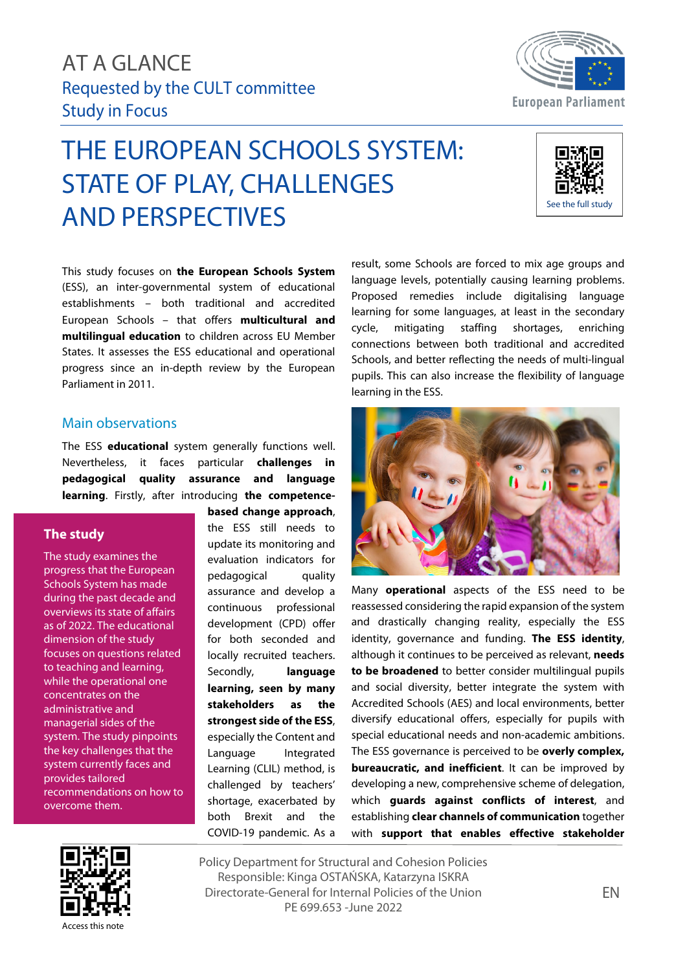# AT A GLANCE Requested by the CULT committee Study in Focus

# THE EUROPEAN SCHOOLS SYSTEM: STATE OF PLAY, CHALLENGES AND PERSPECTIVES

result, some Schools are forced to mix age groups and language levels, potentially causing learning problems. Proposed remedies include digitalising language learning for some languages, at least in the secondary cycle, mitigating staffing shortages, enriching connections between both traditional and accredited Schools, and better reflecting the needs of multi-lingual pupils. This can also increase the flexibility of language

## Main observations

Parliament in 2011.

The ESS **educational** system generally functions well. Nevertheless, it faces particular **challenges in pedagogical quality assurance and language learning**. Firstly, after introducing **the competence-**

This study focuses on **the European Schools System** (ESS), an inter-governmental system of educational establishments – both traditional and accredited European Schools – that offers **multicultural and multilingual education** to children across EU Member States. It assesses the ESS educational and operational progress since an in-depth review by the European

#### **The study**

The study examines the progress that the European Schools System has made during the past decade and overviews its state of affairs as of 2022. The educational dimension of the study focuses on questions related to teaching and learning, while the operational one concentrates on the administrative and managerial sides of the system. The study pinpoints the key challenges that the system currently faces and provides tailored recommendations on how to overcome them.

**based change approach**, the ESS still needs to update its monitoring and evaluation indicators for pedagogical quality assurance and develop a continuous professional development (CPD) offer for both seconded and locally recruited teachers. Secondly, **language learning, seen by many stakeholders as the strongest side of the ESS**, especially the Content and Language Integrated Learning (CLIL) method, is challenged by teachers' shortage, exacerbated by both Brexit and the COVID-19 pandemic. As a

reassessed considering the rapid expansion of the system and drastically changing reality, especially the ESS identity, governance and funding. **The ESS identity**, although it continues to be perceived as relevant, **needs to be broadened** to better consider multilingual pupils and social diversity, better integrate the system with Accredited Schools (AES) and local environments, better diversify educational offers, especially for pupils with special educational needs and non-academic ambitions. The ESS governance is perceived to be **overly complex, bureaucratic, and inefficient**. It can be improved by developing a new, comprehensive scheme of delegation, which **guards against conflicts of interest**, and establishing **clear channels of communication** together with **support that enables effective stakeholder** 

Many **operational** aspects of the ESS need to be



Policy Department for Structural and Cohesion Policies Responsible: Kinga OSTAŃSKA, Katarzyna ISKRA Directorate-General for Internal Policies of the Union PE 699.653 -June 2022